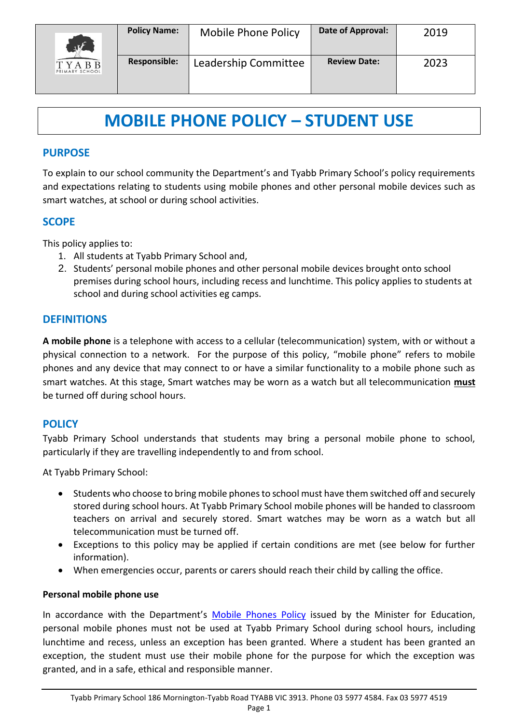

# **MOBILE PHONE POLICY – STUDENT USE**

## **PURPOSE**

To explain to our school community the Department's and Tyabb Primary School's policy requirements and expectations relating to students using mobile phones and other personal mobile devices such as smart watches, at school or during school activities.

## **SCOPE**

This policy applies to:

- 1. All students at Tyabb Primary School and,
- 2. Students' personal mobile phones and other personal mobile devices brought onto school premises during school hours, including recess and lunchtime. This policy applies to students at school and during school activities eg camps.

## **DEFINITIONS**

**A mobile phone** is a telephone with access to a cellular (telecommunication) system, with or without a physical connection to a network. For the purpose of this policy, "mobile phone" refers to mobile phones and any device that may connect to or have a similar functionality to a mobile phone such as smart watches. At this stage, Smart watches may be worn as a watch but all telecommunication **must** be turned off during school hours.

## **POLICY**

Tyabb Primary School understands that students may bring a personal mobile phone to school, particularly if they are travelling independently to and from school.

At Tyabb Primary School:

- Students who choose to bring mobile phones to school must have them switched off and securely stored during school hours. At Tyabb Primary School mobile phones will be handed to classroom teachers on arrival and securely stored. Smart watches may be worn as a watch but all telecommunication must be turned off.
- Exceptions to this policy may be applied if certain conditions are met (see below for further information).
- When emergencies occur, parents or carers should reach their child by calling the office.

#### **Personal mobile phone use**

In accordance with the Department's [Mobile Phones Policy](https://www.education.vic.gov.au/school/principals/spag/safety/Pages/mobilephones.aspx) issued by the Minister for Education, personal mobile phones must not be used at Tyabb Primary School during school hours, including lunchtime and recess, unless an exception has been granted. Where a student has been granted an exception, the student must use their mobile phone for the purpose for which the exception was granted, and in a safe, ethical and responsible manner.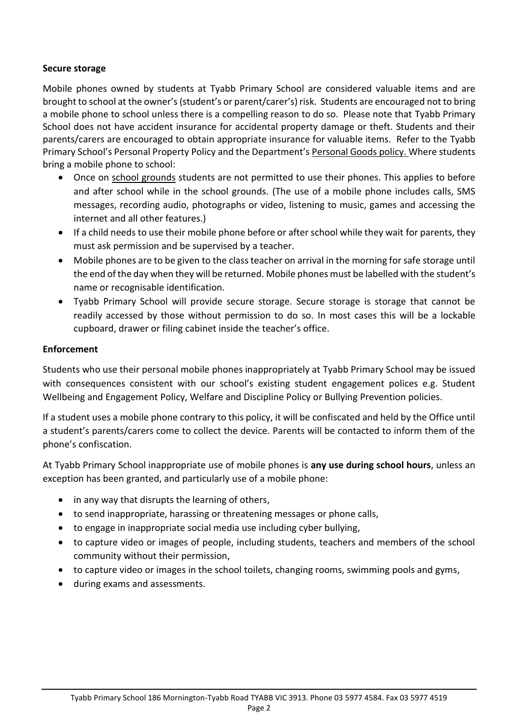#### **Secure storage**

Mobile phones owned by students at Tyabb Primary School are considered valuable items and are brought to school at the owner's (student's or parent/carer's) risk. Students are encouraged not to bring a mobile phone to school unless there is a compelling reason to do so. Please note that Tyabb Primary School does not have accident insurance for accidental property damage or theft. Students and their parents/carers are encouraged to obtain appropriate insurance for valuable items. Refer to the Tyabb Primary School's Personal Property Policy and the Department's [Personal Goods](https://www.education.vic.gov.au/school/principals/spag/governance/pages/personalgoods.aspx) policy. Where students bring a mobile phone to school:

- Once on school grounds students are not permitted to use their phones. This applies to before and after school while in the school grounds. (The use of a mobile phone includes calls, SMS messages, recording audio, photographs or video, listening to music, games and accessing the internet and all other features.)
- If a child needs to use their mobile phone before or after school while they wait for parents, they must ask permission and be supervised by a teacher.
- Mobile phones are to be given to the class teacher on arrival in the morning for safe storage until the end of the day when they will be returned. Mobile phones must be labelled with the student's name or recognisable identification.
- Tyabb Primary School will provide secure storage. Secure storage is storage that cannot be readily accessed by those without permission to do so. In most cases this will be a lockable cupboard, drawer or filing cabinet inside the teacher's office.

#### **Enforcement**

Students who use their personal mobile phones inappropriately at Tyabb Primary School may be issued with consequences consistent with our school's existing student engagement polices e.g. Student Wellbeing and Engagement Policy, Welfare and Discipline Policy or Bullying Prevention policies.

If a student uses a mobile phone contrary to this policy, it will be confiscated and held by the Office until a student's parents/carers come to collect the device. Parents will be contacted to inform them of the phone's confiscation.

At Tyabb Primary School inappropriate use of mobile phones is **any use during school hours**, unless an exception has been granted, and particularly use of a mobile phone:

- in any way that disrupts the learning of others,
- to send inappropriate, harassing or threatening messages or phone calls,
- to engage in inappropriate social media use including cyber bullying,
- to capture video or images of people, including students, teachers and members of the school community without their permission,
- to capture video or images in the school toilets, changing rooms, swimming pools and gyms,
- during exams and assessments.